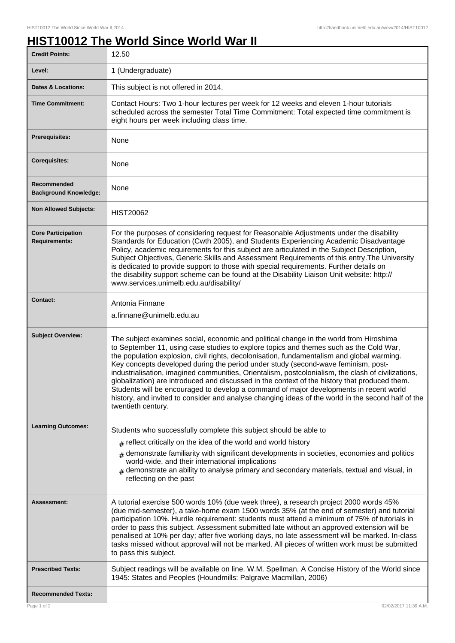## **HIST10012 The World Since World War II**

| <b>Credit Points:</b>                             | 12.50                                                                                                                                                                                                                                                                                                                                                                                                                                                                                                                                                                                                                                                                                                                                                                                            |
|---------------------------------------------------|--------------------------------------------------------------------------------------------------------------------------------------------------------------------------------------------------------------------------------------------------------------------------------------------------------------------------------------------------------------------------------------------------------------------------------------------------------------------------------------------------------------------------------------------------------------------------------------------------------------------------------------------------------------------------------------------------------------------------------------------------------------------------------------------------|
| Level:                                            | 1 (Undergraduate)                                                                                                                                                                                                                                                                                                                                                                                                                                                                                                                                                                                                                                                                                                                                                                                |
| <b>Dates &amp; Locations:</b>                     | This subject is not offered in 2014.                                                                                                                                                                                                                                                                                                                                                                                                                                                                                                                                                                                                                                                                                                                                                             |
| <b>Time Commitment:</b>                           | Contact Hours: Two 1-hour lectures per week for 12 weeks and eleven 1-hour tutorials<br>scheduled across the semester Total Time Commitment: Total expected time commitment is<br>eight hours per week including class time.                                                                                                                                                                                                                                                                                                                                                                                                                                                                                                                                                                     |
| <b>Prerequisites:</b>                             | None                                                                                                                                                                                                                                                                                                                                                                                                                                                                                                                                                                                                                                                                                                                                                                                             |
| <b>Corequisites:</b>                              | None                                                                                                                                                                                                                                                                                                                                                                                                                                                                                                                                                                                                                                                                                                                                                                                             |
| Recommended<br><b>Background Knowledge:</b>       | None                                                                                                                                                                                                                                                                                                                                                                                                                                                                                                                                                                                                                                                                                                                                                                                             |
| <b>Non Allowed Subjects:</b>                      | <b>HIST20062</b>                                                                                                                                                                                                                                                                                                                                                                                                                                                                                                                                                                                                                                                                                                                                                                                 |
| <b>Core Participation</b><br><b>Requirements:</b> | For the purposes of considering request for Reasonable Adjustments under the disability<br>Standards for Education (Cwth 2005), and Students Experiencing Academic Disadvantage<br>Policy, academic requirements for this subject are articulated in the Subject Description,<br>Subject Objectives, Generic Skills and Assessment Requirements of this entry. The University<br>is dedicated to provide support to those with special requirements. Further details on<br>the disability support scheme can be found at the Disability Liaison Unit website: http://<br>www.services.unimelb.edu.au/disability/                                                                                                                                                                                 |
| <b>Contact:</b>                                   | Antonia Finnane<br>a.finnane@unimelb.edu.au                                                                                                                                                                                                                                                                                                                                                                                                                                                                                                                                                                                                                                                                                                                                                      |
| <b>Subject Overview:</b>                          | The subject examines social, economic and political change in the world from Hiroshima<br>to September 11, using case studies to explore topics and themes such as the Cold War,<br>the population explosion, civil rights, decolonisation, fundamentalism and global warming.<br>Key concepts developed during the period under study (second-wave feminism, post-<br>industrialisation, imagined communities, Orientalism, postcolonialism, the clash of civilizations,<br>globalization) are introduced and discussed in the context of the history that produced them.<br>Students will be encouraged to develop a command of major developments in recent world<br>history, and invited to consider and analyse changing ideas of the world in the second half of the<br>twentieth century. |
| <b>Learning Outcomes:</b>                         | Students who successfully complete this subject should be able to                                                                                                                                                                                                                                                                                                                                                                                                                                                                                                                                                                                                                                                                                                                                |
|                                                   | $_{\text{\#}}$ reflect critically on the idea of the world and world history                                                                                                                                                                                                                                                                                                                                                                                                                                                                                                                                                                                                                                                                                                                     |
|                                                   | demonstrate familiarity with significant developments in societies, economies and politics<br>#<br>world-wide, and their international implications<br>$#$ demonstrate an ability to analyse primary and secondary materials, textual and visual, in<br>reflecting on the past                                                                                                                                                                                                                                                                                                                                                                                                                                                                                                                   |
| <b>Assessment:</b>                                | A tutorial exercise 500 words 10% (due week three), a research project 2000 words 45%<br>(due mid-semester), a take-home exam 1500 words 35% (at the end of semester) and tutorial<br>participation 10%. Hurdle requirement: students must attend a minimum of 75% of tutorials in<br>order to pass this subject. Assessment submitted late without an approved extension will be<br>penalised at 10% per day; after five working days, no late assessment will be marked. In-class<br>tasks missed without approval will not be marked. All pieces of written work must be submitted<br>to pass this subject.                                                                                                                                                                                   |
| <b>Prescribed Texts:</b>                          | Subject readings will be available on line. W.M. Spellman, A Concise History of the World since<br>1945: States and Peoples (Houndmills: Palgrave Macmillan, 2006)                                                                                                                                                                                                                                                                                                                                                                                                                                                                                                                                                                                                                               |
| <b>Recommended Texts:</b>                         |                                                                                                                                                                                                                                                                                                                                                                                                                                                                                                                                                                                                                                                                                                                                                                                                  |
| Page 1 of 2                                       | 02/02/2017 11:39 A.M.                                                                                                                                                                                                                                                                                                                                                                                                                                                                                                                                                                                                                                                                                                                                                                            |